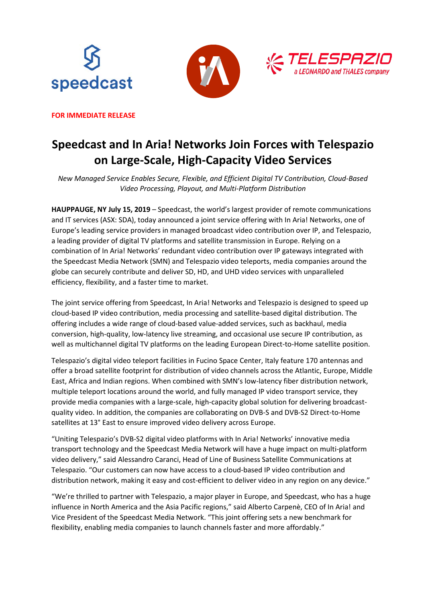





**FOR IMMEDIATE RELEASE**

# **Speedcast and In Aria! Networks Join Forces with Telespazio on Large-Scale, High-Capacity Video Services**

*New Managed Service Enables Secure, Flexible, and Efficient Digital TV Contribution, Cloud-Based Video Processing, Playout, and Multi-Platform Distribution*

**HAUPPAUGE, NY July 15, 2019** – Speedcast, the world's largest provider of remote communications and IT services (ASX: SDA), today announced a joint service offering with In Aria! Networks, one of Europe's leading service providers in managed broadcast video contribution over IP, and Telespazio, a leading provider of digital TV platforms and satellite transmission in Europe. Relying on a combination of In Aria! Networks' redundant video contribution over IP gateways integrated with the Speedcast Media Network (SMN) and Telespazio video teleports, media companies around the globe can securely contribute and deliver SD, HD, and UHD video services with unparalleled efficiency, flexibility, and a faster time to market.

The joint service offering from Speedcast, In Aria! Networks and Telespazio is designed to speed up cloud-based IP video contribution, media processing and satellite-based digital distribution. The offering includes a wide range of cloud-based value-added services, such as backhaul, media conversion, high-quality, low-latency live streaming, and occasional use secure IP contribution, as well as multichannel digital TV platforms on the leading European Direct-to-Home satellite position.

Telespazio's digital video teleport facilities in Fucino Space Center, Italy feature 170 antennas and offer a broad satellite footprint for distribution of video channels across the Atlantic, Europe, Middle East, Africa and Indian regions. When combined with SMN's low-latency fiber distribution network, multiple teleport locations around the world, and fully managed IP video transport service, they provide media companies with a large-scale, high-capacity global solution for delivering broadcastquality video. In addition, the companies are collaborating on DVB-S and DVB-S2 Direct-to-Home satellites at 13° East to ensure improved video delivery across Europe.

"Uniting Telespazio's DVB-S2 digital video platforms with In Aria! Networks' innovative media transport technology and the Speedcast Media Network will have a huge impact on multi-platform video delivery," said Alessandro Caranci, Head of Line of Business Satellite Communications at Telespazio. "Our customers can now have access to a cloud-based IP video contribution and distribution network, making it easy and cost-efficient to deliver video in any region on any device."

"We're thrilled to partner with Telespazio, a major player in Europe, and Speedcast, who has a huge influence in North America and the Asia Pacific regions," said Alberto Carpenè, CEO of In Aria! and Vice President of the Speedcast Media Network. "This joint offering sets a new benchmark for flexibility, enabling media companies to launch channels faster and more affordably."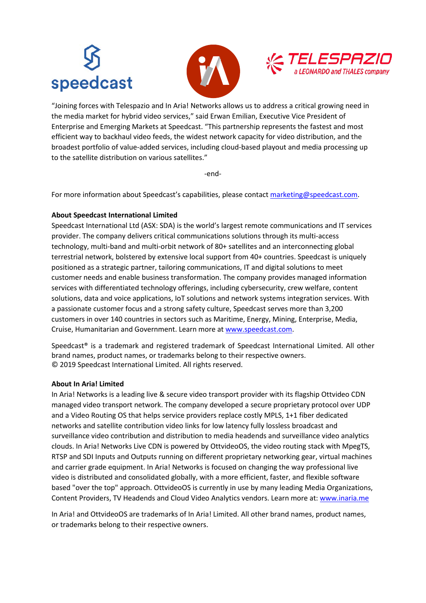# speedcast





"Joining forces with Telespazio and In Aria! Networks allows us to address a critical growing need in the media market for hybrid video services," said Erwan Emilian, Executive Vice President of Enterprise and Emerging Markets at Speedcast. "This partnership represents the fastest and most efficient way to backhaul video feeds, the widest network capacity for video distribution, and the broadest portfolio of value-added services, including cloud-based playout and media processing up to the satellite distribution on various satellites."

-end-

For more information about Speedcast's capabilities, please contact [marketing@speedcast.com.](mailto:marketing@speedcast.com)

## **About Speedcast International Limited**

Speedcast International Ltd (ASX: SDA) is the world's largest remote communications and IT services provider. The company delivers critical communications solutions through its multi-access technology, multi-band and multi-orbit network of 80+ satellites and an interconnecting global terrestrial network, bolstered by extensive local support from 40+ countries. Speedcast is uniquely positioned as a strategic partner, tailoring communications, IT and digital solutions to meet customer needs and enable business transformation. The company provides managed information services with differentiated technology offerings, including cybersecurity, crew welfare, content solutions, data and voice applications, IoT solutions and network systems integration services. With a passionate customer focus and a strong safety culture, Speedcast serves more than 3,200 customers in over 140 countries in sectors such as Maritime, Energy, Mining, Enterprise, Media, Cruise, Humanitarian and Government. Learn more at [www.speedcast.com.](http://www.speedcast.com/)

Speedcast® is a trademark and registered trademark of Speedcast International Limited. All other brand names, product names, or trademarks belong to their respective owners. © 2019 Speedcast International Limited. All rights reserved.

### **About In Aria! Limited**

In Aria! Networks is a leading live & secure video transport provider with its flagship Ottvideo CDN managed video transport network. The company developed a secure proprietary protocol over UDP and a Video Routing OS that helps service providers replace costly MPLS, 1+1 fiber dedicated networks and satellite contribution video links for low latency fully lossless broadcast and surveillance video contribution and distribution to media headends and surveillance video analytics clouds. In Aria! Networks Live CDN is powered by OttvideoOS, the video routing stack with MpegTS, RTSP and SDI Inputs and Outputs running on different proprietary networking gear, virtual machines and carrier grade equipment. In Aria! Networks is focused on changing the way professional live video is distributed and consolidated globally, with a more efficient, faster, and flexible software based "over the top" approach. OttvideoOS is currently in use by many leading Media Organizations, Content Providers, TV Headends and Cloud Video Analytics vendors. Learn more at: [www.inaria.me](http://www.inaria.me/)

In Aria! and OttvideoOS are trademarks of In Aria! Limited. All other brand names, product names, or trademarks belong to their respective owners.